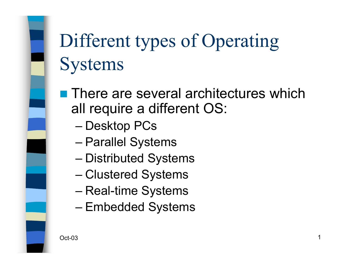# Different types of Operating **Systems**

**There are several architectures which** all require a different OS:

- Desktop PCs
- Parallel Systems
- Distributed Systems
- Clustered Systems
- Real-time Systems
- Embedded Systems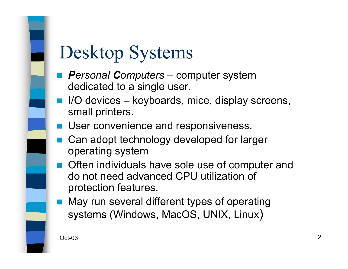#### Desktop Systems

- $\mathbb{R}^3$  *Personal Computers* – computer system dedicated to a single user.
- I/O devices keyboards, mice, display screens, small printers.
- **User convenience and responsiveness.**
- $\mathbb{R}^3$  Can adopt technology developed for larger operating system
- Often individuals have sole use of computer and do not need advanced CPU utilization of protection features.
- May run several different types of operating systems (Windows, MacOS, UNIX, Linux)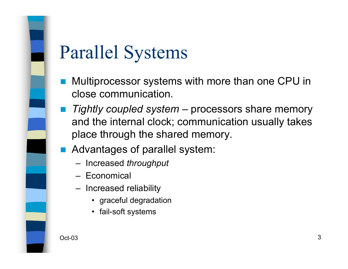#### Parallel Systems

- Multiprocessor systems with more than one CPU in close communication.
- *Tightly coupled system* processors share memory and the internal clock; communication usually takes place through the shared memory.
- Advantages of parallel system:
	- Increased *throughput*
	- Economical
	- Increased reliability
		- graceful degradation
		- fail-soft systems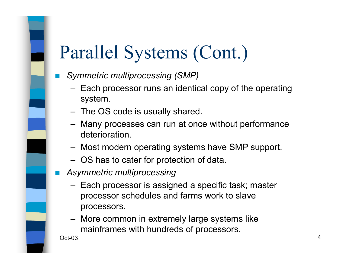#### Parallel Systems (Cont.)

- *Symmetric multiprocessing (SMP)*
	- Each processor runs an identical copy of the operating system.
	- The OS code is usually shared.
	- Many processes can run at once without performance deterioration.
	- Most modern operating systems have SMP support.
	- OS has to cater for protection of data.
- *Asymmetric multiprocessing*
	- Each processor is assigned a specific task; master processor schedules and farms work to slave processors.
	- More common in extremely large systems like mainframes with hundreds of processors.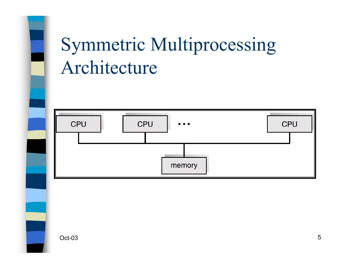## Symmetric Multiprocessing Architecture

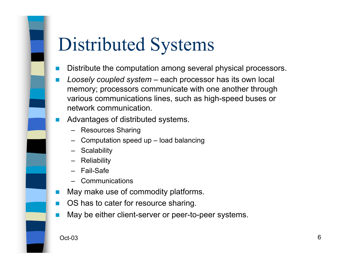## Distributed Systems

- F Distribute the computation among several physical processors.
- F *Loosely coupled system* – each processor has its own local memory; processors communicate with one another through various communications lines, such as high-speed buses or network communication.
- P. Advantages of distributed systems.
	- Resources Sharing
	- Computation speed up load balancing
	- Scalability
	- Reliability
	- Fail-Safe
	- Communications
- F May make use of commodity platforms.
- F OS has to cater for resource sharing.
- May be either client-server or peer-to-peer systems.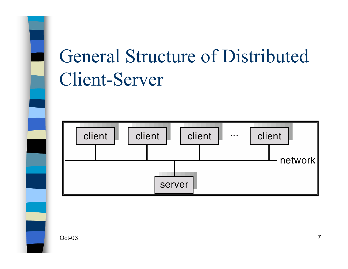# General Structure of Distributed Client-Server

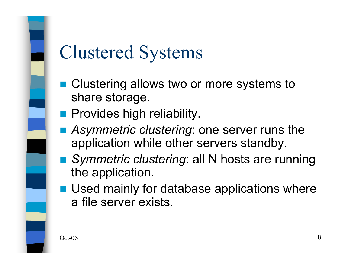#### Clustered Systems

- Clustering allows two or more systems to share storage.
- **Provides high reliability.**
- Asymmetric clustering: one server runs the application while other servers standby.
- Symmetric clustering: all N hosts are running the application.
- **Used mainly for database applications where** a file server exists.

Oct-038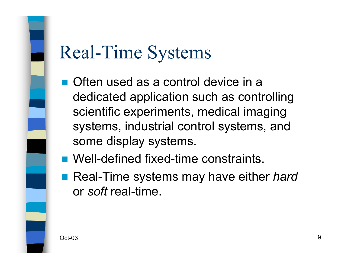#### Real-Time Systems

- Often used as a control device in a dedicated application such as controlling scientific experiments, medical imaging systems, industrial control systems, and some display systems.
- Well-defined fixed-time constraints.
- Real-Time systems may have either *hard* or *soft* real-time.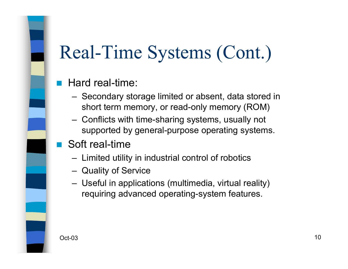## Real-Time Systems (Cont.)

#### $\mathbb{R}^3$ Hard real-time:

- Secondary storage limited or absent, data stored in short term memory, or read-only memory (ROM)
- Conflicts with time-sharing systems, usually not supported by general-purpose operating systems.
- Soft real-time
	- Limited utility in industrial control of robotics
	- Quality of Service
	- Useful in applications (multimedia, virtual reality) requiring advanced operating-system features.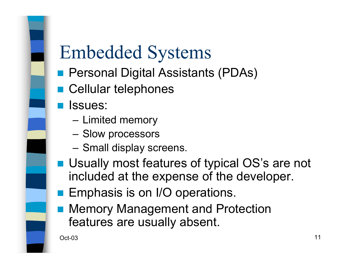#### Embedded Systems

- Personal Digital Assistants (PDAs)
- Cellular telephones
- **<u>Relissues</u>**:
	- Limited memory
	- Slow processors
	- Small display screens.
- Usually most features of typical OS's are not included at the expense of the developer.
- **Emphasis is on I/O operations.**
- Memory Management and Protection features are usually absent.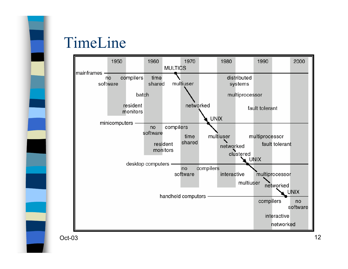Oct-03

#### TimeLine



 $3 \times 12$